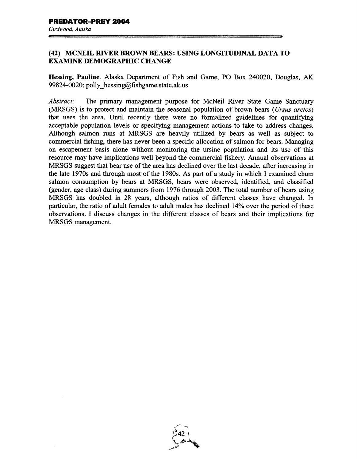## (42) MCNEIL RIVER BROWN BEARS: USING LONGITUDINAL DATA TO EXAMINE DEMOGRAPHIC CHANGE

Hessing, Pauline. Alaska Department of Fish and Game, PO Box 240020, Douglas, AK 99824-0020; polly hessing@fishgame.state.ak.us

*Abstract:* The primary management purpose for McNeil River State Game Sanctuary (MRSGS) is to protect and maintain the seasonal population of brown bears *(Ursus arctos)*  that uses the area. Until recently there were no formalized guidelines for quantifying acceptable population levels or specifying management actions to take to address changes. Although salmon runs at MRSGS are heavily utilized by bears as well as subject to commercial fishing, there has never been a specific allocation of salmon for bears. Managing on escapement basis alone without monitoring the ursine population and its use of this resource may have implications well beyond the commercial fishery. Annual observations at MRSGS suggest that bear use of the area has declined over the last decade, after increasing in the late 1970s and through most of the 1980s. As part of a study in which I examined chum salmon consumption by bears at MRSGS, bears were observed, identified, and classified (gender, age class) during summers from 1976 through 2003. The total number of bears using MRSGS has doubled in 28 years, although ratios of different classes have changed. In particular, the ratio of adult females to adult males has declined 14% over the period of these observations. I discuss changes in the different classes of bears and their implications for MRSGS management.